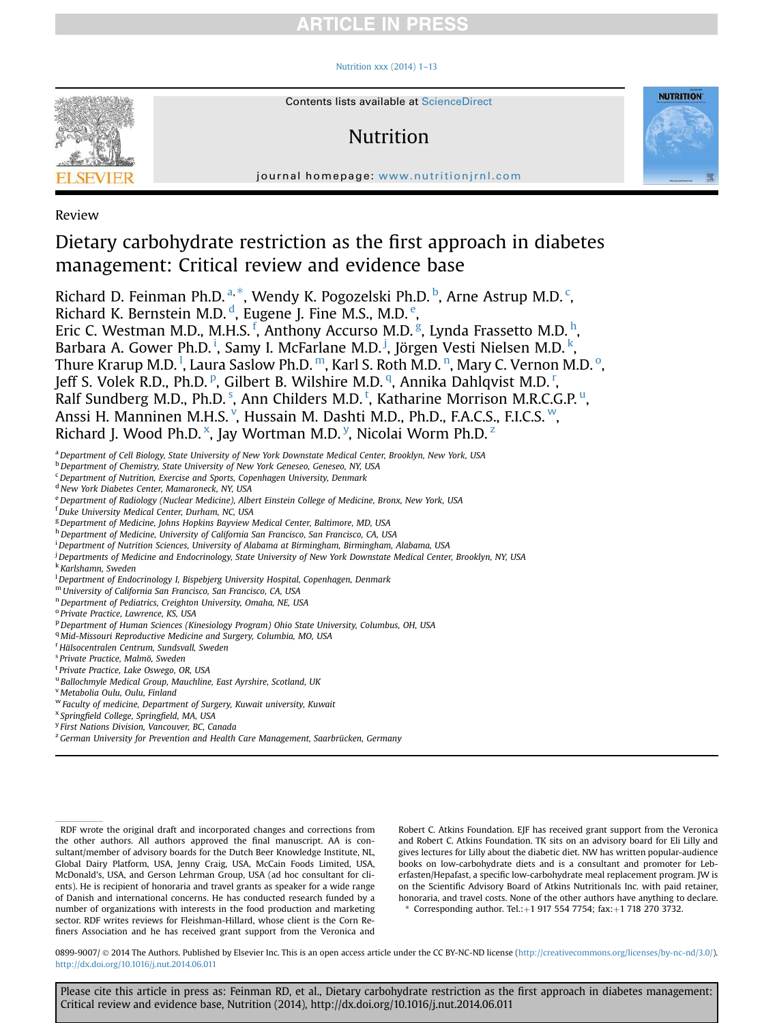#### [Nutrition xxx \(2014\) 1](http://dx.doi.org/10.1016/j.nut.2014.06.011)–13



# Nutrition



journal homepage: [www.nutritionjrnl.com](http://www.nutritionjrnl.com)

Review

# Dietary carbohydrate restriction as the first approach in diabetes management: Critical review and evidence base

Richard D. Feinman Ph.D. <sup>a,\*</sup>, Wendy K. Pogozelski Ph.D. <sup>b</sup>, Arne Astrup M.D. <sup>c</sup>, Richard K. Bernstein M.D. d, Eugene J. Fine M.S., M.D. e, Eric C. Westman M.D., M.H.S.<sup>f</sup>, Anthony Accurso M.D.<sup>g</sup>, Lynda Frassetto M.D.<sup>h</sup>, Barbara A. Gower Ph.D. <sup>i</sup>, Samy I. McFarlane M.D. <sup>j</sup>, Jörgen Vesti Nielsen M.D. <sup>k</sup>, Thure Krarup M.D. <sup>1</sup>, Laura Saslow Ph.D. <sup>m</sup>, Karl S. Roth M.D. <sup>n</sup>, Mary C. Vernon M.D. <sup>o</sup>, Jeff S. Volek R.D., Ph.D. <sup>p</sup>, Gilbert B. Wilshire M.D. <sup>q</sup>, Annika Dahlqvist M.D. <sup>r</sup>, Ralf Sundberg M.D., Ph.D.<sup>s</sup>, Ann Childers M.D.<sup>t</sup>, Katharine Morrison M.R.C.G.P.<sup>u</sup>, Anssi H. Manninen M.H.S.<sup>v</sup>, Hussain M. Dashti M.D., Ph.D., F.A.C.S., F.I.C.S. <sup>w</sup>, Richard J. Wood Ph.D.<sup>x</sup>, Jay Wortman M.D.<sup>y</sup>, Nicolai Worm Ph.D.<sup>z</sup>

a Department of Cell Biology, State University of New York Downstate Medical Center, Brooklyn, New York, USA

- <sup>b</sup> Department of Chemistry, State University of New York Geneseo, Geneseo, NY, USA
- $c$  Department of Nutrition, Exercise and Sports, Copenhagen University, Denmark
- $d$  New York Diabetes Center, Mamaroneck, NY, USA

e Department of Radiology (Nuclear Medicine), Albert Einstein College of Medicine, Bronx, New York, USA

<sup>f</sup> Duke University Medical Center, Durham, NC, USA

<sup>g</sup> Department of Medicine, Johns Hopkins Bayview Medical Center, Baltimore, MD, USA

- <sup>h</sup> Department of Medicine, University of California San Francisco, San Francisco, CA, USA
- i Department of Nutrition Sciences, University of Alabama at Birmingham, Birmingham, Alabama, USA
- j Departments of Medicine and Endocrinology, State University of New York Downstate Medical Center, Brooklyn, NY, USA
- <sup>k</sup> Karlshamn, Sweden
- <sup>1</sup> Department of Endocrinology I, Bispebjerg University Hospital, Copenhagen, Denmark
- <sup>m</sup> University of California San Francisco, San Francisco, CA, USA
- <sup>n</sup> Department of Pediatrics, Creighton University, Omaha, NE, USA
- <sup>o</sup> Private Practice, Lawrence, KS, USA
- <sup>p</sup> Department of Human Sciences (Kinesiology Program) Ohio State University, Columbus, OH, USA
- <sup>q</sup> Mid-Missouri Reproductive Medicine and Surgery, Columbia, MO, USA
- r Hälsocentralen Centrum, Sundsvall, Sweden
- <sup>s</sup> Private Practice, Malmö, Sweden
- <sup>t</sup> Private Practice, Lake Oswego, OR, USA
- <sup>u</sup> Ballochmyle Medical Group, Mauchline, East Ayrshire, Scotland, UK
- <sup>v</sup> Metabolia Oulu, Oulu, Finland
- <sup>w</sup> Faculty of medicine, Department of Surgery, Kuwait university, Kuwait
- <sup>x</sup> Springfield College, Springfield, MA, USA
- <sup>y</sup> First Nations Division, Vancouver, BC, Canada
- <sup>z</sup> German University for Prevention and Health Care Management, Saarbrücken, Germany

Robert C. Atkins Foundation. EJF has received grant support from the Veronica and Robert C. Atkins Foundation. TK sits on an advisory board for Eli Lilly and gives lectures for Lilly about the diabetic diet. NW has written popular-audience books on low-carbohydrate diets and is a consultant and promoter for Leberfasten/Hepafast, a specific low-carbohydrate meal replacement program. JW is on the Scientific Advisory Board of Atkins Nutritionals Inc. with paid retainer, honoraria, and travel costs. None of the other authors have anything to declare.  $*$  Corresponding author. Tel.: $+1$  917 554 7754; fax: $+1$  718 270 3732.

0899-9007/ © 2014 The Authors. Published by Elsevier Inc. This is an open access article under the CC BY-NC-ND license [\(http://creativecommons.org/licenses/by-nc-nd/3.0/](http://creativecommons.org/licenses/by-nc-nd/3.0/)). <http://dx.doi.org/10.1016/j.nut.2014.06.011>

RDF wrote the original draft and incorporated changes and corrections from the other authors. All authors approved the final manuscript. AA is consultant/member of advisory boards for the Dutch Beer Knowledge Institute, NL, Global Dairy Platform, USA, Jenny Craig, USA, McCain Foods Limited, USA, McDonald's, USA, and Gerson Lehrman Group, USA (ad hoc consultant for clients). He is recipient of honoraria and travel grants as speaker for a wide range of Danish and international concerns. He has conducted research funded by a number of organizations with interests in the food production and marketing sector. RDF writes reviews for Fleishman-Hillard, whose client is the Corn Refiners Association and he has received grant support from the Veronica and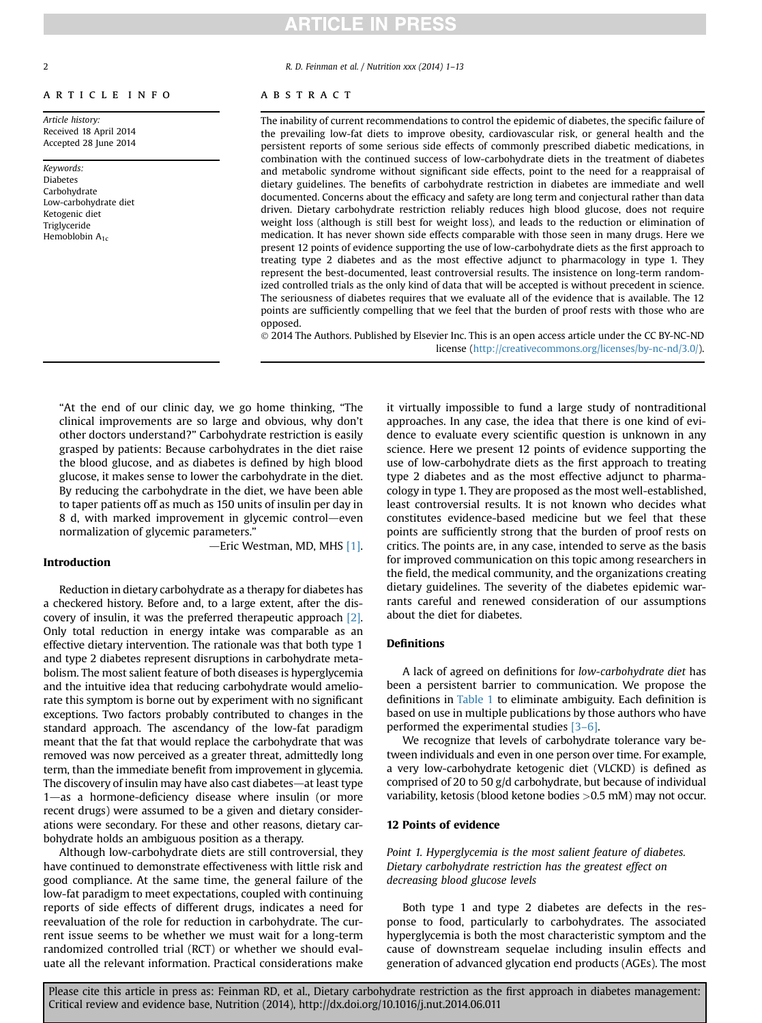#### article info

Article history: Received 18 April 2014 Accepted 28 June 2014

Keywords: Diabetes Carbohydrate Low-carbohydrate diet Ketogenic diet Triglyceride Hemoblobin  $A_{1c}$ 

### **ARTICLE IN PRESS**

2 R. D. Feinman et al. / Nutrition xxx (2014) 1–13

#### abstract

The inability of current recommendations to control the epidemic of diabetes, the specific failure of the prevailing low-fat diets to improve obesity, cardiovascular risk, or general health and the persistent reports of some serious side effects of commonly prescribed diabetic medications, in combination with the continued success of low-carbohydrate diets in the treatment of diabetes and metabolic syndrome without significant side effects, point to the need for a reappraisal of dietary guidelines. The benefits of carbohydrate restriction in diabetes are immediate and well documented. Concerns about the efficacy and safety are long term and conjectural rather than data driven. Dietary carbohydrate restriction reliably reduces high blood glucose, does not require weight loss (although is still best for weight loss), and leads to the reduction or elimination of medication. It has never shown side effects comparable with those seen in many drugs. Here we present 12 points of evidence supporting the use of low-carbohydrate diets as the first approach to treating type 2 diabetes and as the most effective adjunct to pharmacology in type 1. They represent the best-documented, least controversial results. The insistence on long-term randomized controlled trials as the only kind of data that will be accepted is without precedent in science. The seriousness of diabetes requires that we evaluate all of the evidence that is available. The 12 points are sufficiently compelling that we feel that the burden of proof rests with those who are opposed.

 2014 The Authors. Published by Elsevier Inc. This is an open access article under the CC BY-NC-ND license [\(http://creativecommons.org/licenses/by-nc-nd/3.0/](http://creativecommons.org/licenses/by-nc-nd/3.0/)).

"At the end of our clinic day, we go home thinking, "The clinical improvements are so large and obvious, why don't other doctors understand?" Carbohydrate restriction is easily grasped by patients: Because carbohydrates in the diet raise the blood glucose, and as diabetes is defined by high blood glucose, it makes sense to lower the carbohydrate in the diet. By reducing the carbohydrate in the diet, we have been able to taper patients off as much as 150 units of insulin per day in 8 d, with marked improvement in glycemic control—even normalization of glycemic parameters."

-Eric Westman, MD, MHS [\[1\].](#page-11-0)

#### Introduction

Reduction in dietary carbohydrate as a therapy for diabetes has a checkered history. Before and, to a large extent, after the discovery of insulin, it was the preferred therapeutic approach [\[2\].](#page-11-0) Only total reduction in energy intake was comparable as an effective dietary intervention. The rationale was that both type 1 and type 2 diabetes represent disruptions in carbohydrate metabolism. The most salient feature of both diseases is hyperglycemia and the intuitive idea that reducing carbohydrate would ameliorate this symptom is borne out by experiment with no significant exceptions. Two factors probably contributed to changes in the standard approach. The ascendancy of the low-fat paradigm meant that the fat that would replace the carbohydrate that was removed was now perceived as a greater threat, admittedly long term, than the immediate benefit from improvement in glycemia. The discovery of insulin may have also cast diabetes—at least type  $1$ —as a hormone-deficiency disease where insulin (or more recent drugs) were assumed to be a given and dietary considerations were secondary. For these and other reasons, dietary carbohydrate holds an ambiguous position as a therapy.

Although low-carbohydrate diets are still controversial, they have continued to demonstrate effectiveness with little risk and good compliance. At the same time, the general failure of the low-fat paradigm to meet expectations, coupled with continuing reports of side effects of different drugs, indicates a need for reevaluation of the role for reduction in carbohydrate. The current issue seems to be whether we must wait for a long-term randomized controlled trial (RCT) or whether we should evaluate all the relevant information. Practical considerations make it virtually impossible to fund a large study of nontraditional approaches. In any case, the idea that there is one kind of evidence to evaluate every scientific question is unknown in any science. Here we present 12 points of evidence supporting the use of low-carbohydrate diets as the first approach to treating type 2 diabetes and as the most effective adjunct to pharmacology in type 1. They are proposed as the most well-established, least controversial results. It is not known who decides what constitutes evidence-based medicine but we feel that these points are sufficiently strong that the burden of proof rests on critics. The points are, in any case, intended to serve as the basis for improved communication on this topic among researchers in the field, the medical community, and the organizations creating dietary guidelines. The severity of the diabetes epidemic warrants careful and renewed consideration of our assumptions about the diet for diabetes.

#### Definitions

A lack of agreed on definitions for low-carbohydrate diet has been a persistent barrier to communication. We propose the definitions in [Table 1](#page-2-0) to eliminate ambiguity. Each definition is based on use in multiple publications by those authors who have performed the experimental studies [3–[6\]](#page-11-0).

We recognize that levels of carbohydrate tolerance vary between individuals and even in one person over time. For example, a very low-carbohydrate ketogenic diet (VLCKD) is defined as comprised of 20 to 50 g/d carbohydrate, but because of individual variability, ketosis (blood ketone bodies >0.5 mM) may not occur.

#### 12 Points of evidence

Point 1. Hyperglycemia is the most salient feature of diabetes. Dietary carbohydrate restriction has the greatest effect on decreasing blood glucose levels

Both type 1 and type 2 diabetes are defects in the response to food, particularly to carbohydrates. The associated hyperglycemia is both the most characteristic symptom and the cause of downstream sequelae including insulin effects and generation of advanced glycation end products (AGEs). The most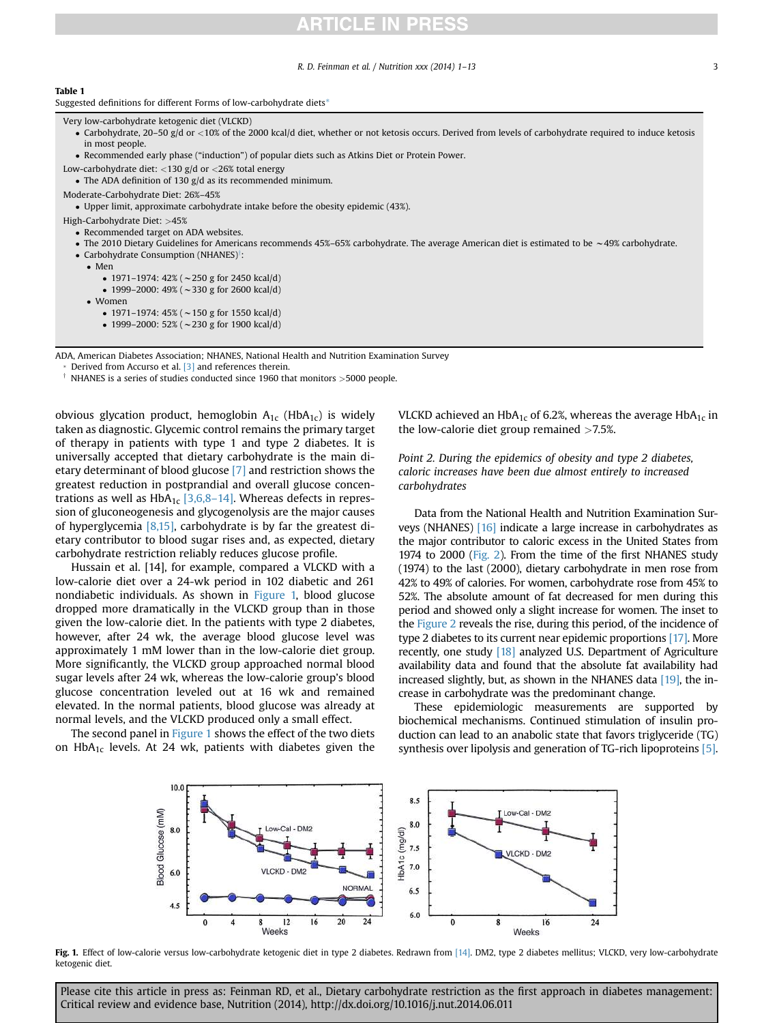#### R. D. Feinman et al. / Nutrition xxx (2014) 1–13 3

#### <span id="page-2-0"></span>Table 1

Suggested definitions for different Forms of low-carbohydrate diets\*

Very low-carbohydrate ketogenic diet (VLCKD) - Carbohydrate, 20–50 g/d or <10% of the 2000 kcal/d diet, whether or not ketosis occurs. Derived from levels of carbohydrate required to induce ketosis in most people. - Recommended early phase ("induction") of popular diets such as Atkins Diet or Protein Power. Low-carbohydrate diet: <130 g/d or <26% total energy - The ADA definition of 130 g/d as its recommended minimum. Moderate-Carbohydrate Diet: 26%–45% - Upper limit, approximate carbohydrate intake before the obesity epidemic (43%). High-Carbohydrate Diet: >45% - Recommended target on ADA websites.  $\bullet$  The 2010 Dietary Guidelines for Americans recommends 45%–65% carbohydrate. The average American diet is estimated to be  $\sim$ 49% carbohydrate. • Carbohydrate Consumption (NHANES) $\dagger$ : - Men • 1971–1974: 42% ( $\sim$  250 g for 2450 kcal/d)

• 1999–2000: 49% ( $\sim$ 330 g for 2600 kcal/d)

- Women
	- 1971–1974: 45% ( $\sim$  150 g for 1550 kcal/d)
- 1999–2000: 52% ( $\sim$ 230 g for 1900 kcal/d)

ADA, American Diabetes Association; NHANES, National Health and Nutrition Examination Survey

Derived from Accurso et al. [\[3\]](#page-11-0) and references therein.

NHANES is a series of studies conducted since 1960 that monitors >5000 people.

obvious glycation product, hemoglobin  $A_{1c}$  (Hb $A_{1c}$ ) is widely taken as diagnostic. Glycemic control remains the primary target of therapy in patients with type 1 and type 2 diabetes. It is universally accepted that dietary carbohydrate is the main dietary determinant of blood glucose [\[7\]](#page-11-0) and restriction shows the greatest reduction in postprandial and overall glucose concentrations as well as  $HbA_{1c}$  [\[3,6,8](#page-11-0)-14]. Whereas defects in repression of gluconeogenesis and glycogenolysis are the major causes of hyperglycemia [\[8,15\],](#page-11-0) carbohydrate is by far the greatest dietary contributor to blood sugar rises and, as expected, dietary carbohydrate restriction reliably reduces glucose profile.

Hussain et al. [14], for example, compared a VLCKD with a low-calorie diet over a 24-wk period in 102 diabetic and 261 nondiabetic individuals. As shown in Figure 1, blood glucose dropped more dramatically in the VLCKD group than in those given the low-calorie diet. In the patients with type 2 diabetes, however, after 24 wk, the average blood glucose level was approximately 1 mM lower than in the low-calorie diet group. More significantly, the VLCKD group approached normal blood sugar levels after 24 wk, whereas the low-calorie group's blood glucose concentration leveled out at 16 wk and remained elevated. In the normal patients, blood glucose was already at normal levels, and the VLCKD produced only a small effect.

The second panel in Figure 1 shows the effect of the two diets on  $HbA_{1c}$  levels. At 24 wk, patients with diabetes given the VLCKD achieved an  $HbA_{1c}$  of 6.2%, whereas the average  $HbA_{1c}$  in the low-calorie diet group remained  $>7.5%$ .

Point 2. During the epidemics of obesity and type 2 diabetes, caloric increases have been due almost entirely to increased carbohydrates

Data from the National Health and Nutrition Examination Surveys (NHANES) [\[16\]](#page-11-0) indicate a large increase in carbohydrates as the major contributor to caloric excess in the United States from 1974 to 2000 ([Fig. 2](#page-3-0)). From the time of the first NHANES study (1974) to the last (2000), dietary carbohydrate in men rose from 42% to 49% of calories. For women, carbohydrate rose from 45% to 52%. The absolute amount of fat decreased for men during this period and showed only a slight increase for women. The inset to the [Figure 2](#page-3-0) reveals the rise, during this period, of the incidence of type 2 diabetes to its current near epidemic proportions [\[17\].](#page-11-0) More recently, one study [\[18\]](#page-11-0) analyzed U.S. Department of Agriculture availability data and found that the absolute fat availability had increased slightly, but, as shown in the NHANES data  $[19]$ , the increase in carbohydrate was the predominant change.

These epidemiologic measurements are supported by biochemical mechanisms. Continued stimulation of insulin production can lead to an anabolic state that favors triglyceride (TG) synthesis over lipolysis and generation of TG-rich lipoproteins [\[5\]](#page-11-0).



Fig. 1. Effect of low-calorie versus low-carbohydrate ketogenic diet in type 2 diabetes. Redrawn from [\[14\].](#page-11-0) DM2, type 2 diabetes mellitus; VLCKD, very low-carbohydrate ketogenic diet.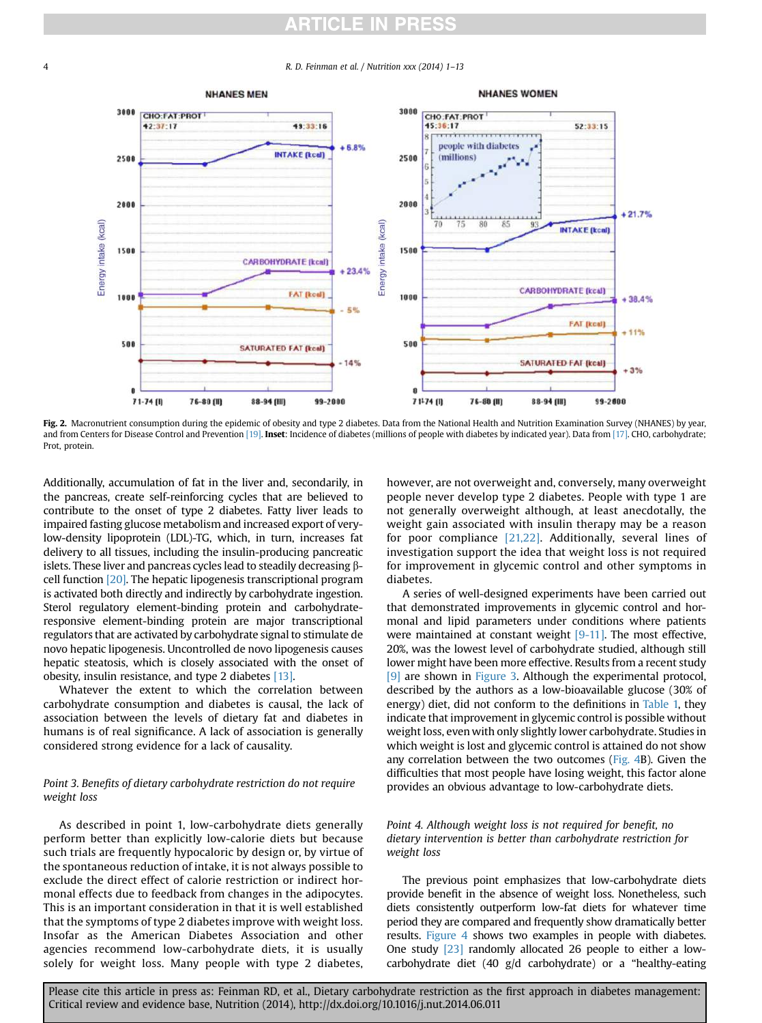<span id="page-3-0"></span>4 R. D. Feinman et al. / Nutrition xxx (2014) 1–13



Fig. 2. Macronutrient consumption during the epidemic of obesity and type 2 diabetes. Data from the National Health and Nutrition Examination Survey (NHANES) by year, and from Centers for Disease Control and Prevention [\[19\].](#page-11-0) Inset: Incidence of diabetes (millions of people with diabetes by indicated year). Data from [\[17\].](#page-11-0) CHO, carbohydrate; Prot, protein.

Additionally, accumulation of fat in the liver and, secondarily, in the pancreas, create self-reinforcing cycles that are believed to contribute to the onset of type 2 diabetes. Fatty liver leads to impaired fasting glucose metabolism and increased export of verylow-density lipoprotein (LDL)-TG, which, in turn, increases fat delivery to all tissues, including the insulin-producing pancreatic islets. These liver and pancreas cycles lead to steadily decreasing  $\beta$ cell function [\[20\]](#page-11-0). The hepatic lipogenesis transcriptional program is activated both directly and indirectly by carbohydrate ingestion. Sterol regulatory element-binding protein and carbohydrateresponsive element-binding protein are major transcriptional regulators that are activated by carbohydrate signal to stimulate de novo hepatic lipogenesis. Uncontrolled de novo lipogenesis causes hepatic steatosis, which is closely associated with the onset of obesity, insulin resistance, and type 2 diabetes [\[13\]](#page-11-0).

Whatever the extent to which the correlation between carbohydrate consumption and diabetes is causal, the lack of association between the levels of dietary fat and diabetes in humans is of real significance. A lack of association is generally considered strong evidence for a lack of causality.

#### Point 3. Benefits of dietary carbohydrate restriction do not require weight loss

As described in point 1, low-carbohydrate diets generally perform better than explicitly low-calorie diets but because such trials are frequently hypocaloric by design or, by virtue of the spontaneous reduction of intake, it is not always possible to exclude the direct effect of calorie restriction or indirect hormonal effects due to feedback from changes in the adipocytes. This is an important consideration in that it is well established that the symptoms of type 2 diabetes improve with weight loss. Insofar as the American Diabetes Association and other agencies recommend low-carbohydrate diets, it is usually solely for weight loss. Many people with type 2 diabetes, however, are not overweight and, conversely, many overweight people never develop type 2 diabetes. People with type 1 are not generally overweight although, at least anecdotally, the weight gain associated with insulin therapy may be a reason for poor compliance [\[21,22\]](#page-11-0). Additionally, several lines of investigation support the idea that weight loss is not required for improvement in glycemic control and other symptoms in diabetes.

A series of well-designed experiments have been carried out that demonstrated improvements in glycemic control and hormonal and lipid parameters under conditions where patients were maintained at constant weight [\[9-11\]](#page-11-0). The most effective, 20%, was the lowest level of carbohydrate studied, although still lower might have been more effective. Results from a recent study [\[9\]](#page-11-0) are shown in [Figure 3.](#page-4-0) Although the experimental protocol, described by the authors as a low-bioavailable glucose (30% of energy) diet, did not conform to the definitions in [Table 1,](#page-2-0) they indicate that improvement in glycemic control is possible without weight loss, even with only slightly lower carbohydrate. Studies in which weight is lost and glycemic control is attained do not show any correlation between the two outcomes ([Fig. 4](#page-5-0)B). Given the difficulties that most people have losing weight, this factor alone provides an obvious advantage to low-carbohydrate diets.

### Point 4. Although weight loss is not required for benefit, no dietary intervention is better than carbohydrate restriction for weight loss

The previous point emphasizes that low-carbohydrate diets provide benefit in the absence of weight loss. Nonetheless, such diets consistently outperform low-fat diets for whatever time period they are compared and frequently show dramatically better results. [Figure 4](#page-5-0) shows two examples in people with diabetes. One study [\[23\]](#page-11-0) randomly allocated 26 people to either a lowcarbohydrate diet (40 g/d carbohydrate) or a "healthy-eating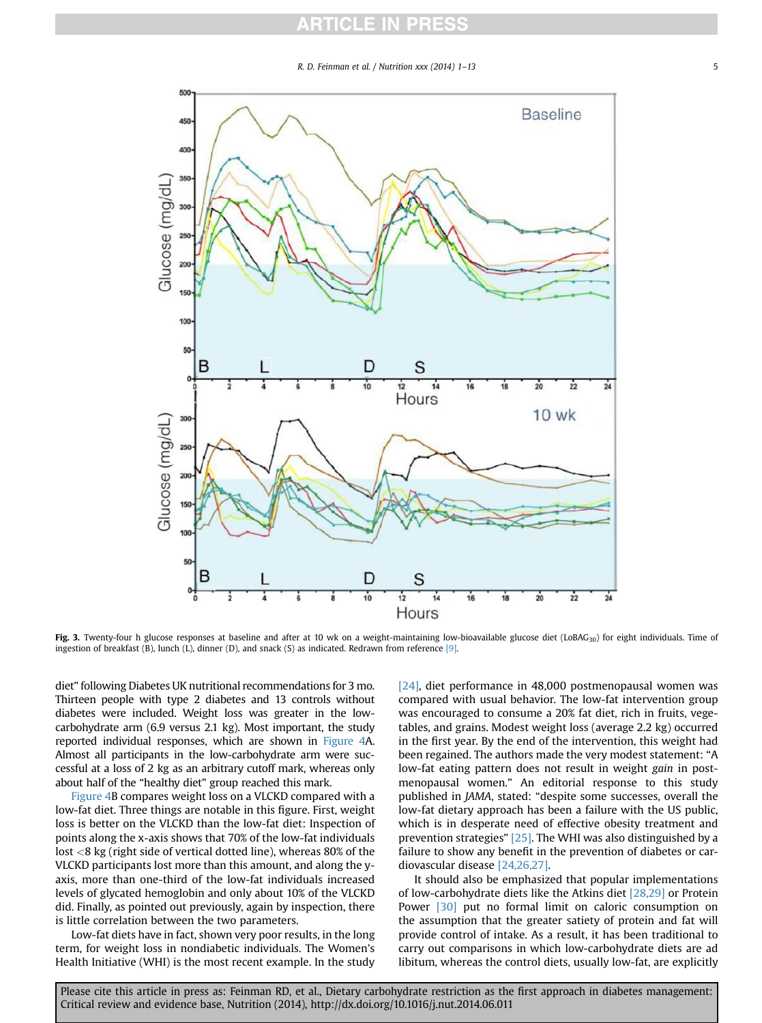R. D. Feinman et al. / Nutrition xxx (2014) 1–13 5

<span id="page-4-0"></span>

Fig. 3. Twenty-four h glucose responses at baseline and after at 10 wk on a weight-maintaining low-bioavailable glucose diet (LoBAG<sub>30</sub>) for eight individuals. Time of ingestion of breakfast (B), lunch (L), dinner (D), and snack (S) as indicated. Redrawn from reference [\[9\]](#page-11-0).

diet" following Diabetes UK nutritional recommendations for 3 mo. Thirteen people with type 2 diabetes and 13 controls without diabetes were included. Weight loss was greater in the lowcarbohydrate arm (6.9 versus 2.1 kg). Most important, the study reported individual responses, which are shown in [Figure 4](#page-5-0)A. Almost all participants in the low-carbohydrate arm were successful at a loss of 2 kg as an arbitrary cutoff mark, whereas only about half of the "healthy diet" group reached this mark.

[Figure 4](#page-5-0)B compares weight loss on a VLCKD compared with a low-fat diet. Three things are notable in this figure. First, weight loss is better on the VLCKD than the low-fat diet: Inspection of points along the x-axis shows that 70% of the low-fat individuals lost <8 kg (right side of vertical dotted line), whereas 80% of the VLCKD participants lost more than this amount, and along the yaxis, more than one-third of the low-fat individuals increased levels of glycated hemoglobin and only about 10% of the VLCKD did. Finally, as pointed out previously, again by inspection, there is little correlation between the two parameters.

Low-fat diets have in fact, shown very poor results, in the long term, for weight loss in nondiabetic individuals. The Women's Health Initiative (WHI) is the most recent example. In the study [\[24\],](#page-11-0) diet performance in 48,000 postmenopausal women was compared with usual behavior. The low-fat intervention group was encouraged to consume a 20% fat diet, rich in fruits, vegetables, and grains. Modest weight loss (average 2.2 kg) occurred in the first year. By the end of the intervention, this weight had been regained. The authors made the very modest statement: "A low-fat eating pattern does not result in weight gain in postmenopausal women." An editorial response to this study published in JAMA, stated: "despite some successes, overall the low-fat dietary approach has been a failure with the US public, which is in desperate need of effective obesity treatment and prevention strategies" [\[25\].](#page-11-0) The WHI was also distinguished by a failure to show any benefit in the prevention of diabetes or cardiovascular disease [\[24,26,27\]](#page-11-0).

It should also be emphasized that popular implementations of low-carbohydrate diets like the Atkins diet [\[28,29\]](#page-11-0) or Protein Power [\[30\]](#page-11-0) put no formal limit on caloric consumption on the assumption that the greater satiety of protein and fat will provide control of intake. As a result, it has been traditional to carry out comparisons in which low-carbohydrate diets are ad libitum, whereas the control diets, usually low-fat, are explicitly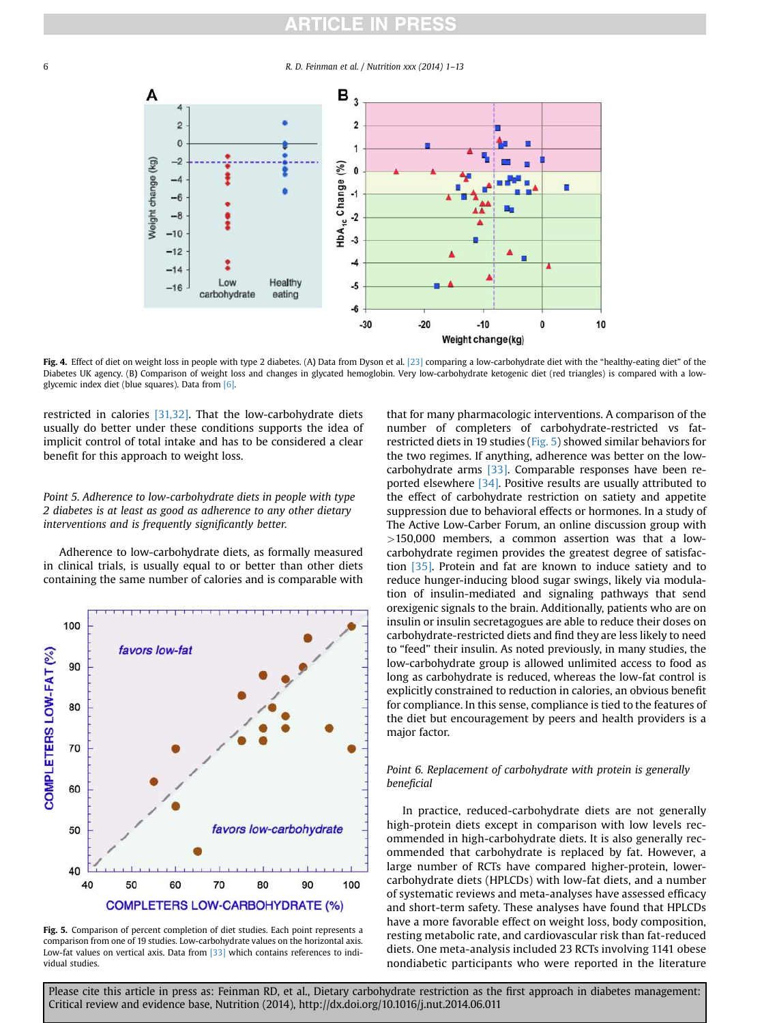<span id="page-5-0"></span>6 R. D. Feinman et al. / Nutrition xxx (2014) 1–13



Fig. 4. Effect of diet on weight loss in people with type 2 diabetes. (A) Data from Dyson et al. [\[23\]](#page-11-0) comparing a low-carbohydrate diet with the "healthy-eating diet" of the Diabetes UK agency. (B) Comparison of weight loss and changes in glycated hemoglobin. Very low-carbohydrate ketogenic diet (red triangles) is compared with a lowglycemic index diet (blue squares). Data from [\[6\]](#page-11-0).

restricted in calories [\[31,32\].](#page-11-0) That the low-carbohydrate diets usually do better under these conditions supports the idea of implicit control of total intake and has to be considered a clear benefit for this approach to weight loss.

#### Point 5. Adherence to low-carbohydrate diets in people with type 2 diabetes is at least as good as adherence to any other dietary interventions and is frequently significantly better.

Adherence to low-carbohydrate diets, as formally measured in clinical trials, is usually equal to or better than other diets containing the same number of calories and is comparable with



Fig. 5. Comparison of percent completion of diet studies. Each point represents a comparison from one of 19 studies. Low-carbohydrate values on the horizontal axis. Low-fat values on vertical axis. Data from [\[33\]](#page-11-0) which contains references to individual studies.

that for many pharmacologic interventions. A comparison of the number of completers of carbohydrate-restricted vs fatrestricted diets in 19 studies (Fig. 5) showed similar behaviors for the two regimes. If anything, adherence was better on the lowcarbohydrate arms [\[33\].](#page-11-0) Comparable responses have been reported elsewhere [\[34\]](#page-11-0). Positive results are usually attributed to the effect of carbohydrate restriction on satiety and appetite suppression due to behavioral effects or hormones. In a study of The Active Low-Carber Forum, an online discussion group with >150,000 members, a common assertion was that a lowcarbohydrate regimen provides the greatest degree of satisfaction [\[35\]](#page-11-0). Protein and fat are known to induce satiety and to reduce hunger-inducing blood sugar swings, likely via modulation of insulin-mediated and signaling pathways that send orexigenic signals to the brain. Additionally, patients who are on insulin or insulin secretagogues are able to reduce their doses on carbohydrate-restricted diets and find they are less likely to need to "feed" their insulin. As noted previously, in many studies, the low-carbohydrate group is allowed unlimited access to food as long as carbohydrate is reduced, whereas the low-fat control is explicitly constrained to reduction in calories, an obvious benefit for compliance. In this sense, compliance is tied to the features of the diet but encouragement by peers and health providers is a major factor.

#### Point 6. Replacement of carbohydrate with protein is generally beneficial

In practice, reduced-carbohydrate diets are not generally high-protein diets except in comparison with low levels recommended in high-carbohydrate diets. It is also generally recommended that carbohydrate is replaced by fat. However, a large number of RCTs have compared higher-protein, lowercarbohydrate diets (HPLCDs) with low-fat diets, and a number of systematic reviews and meta-analyses have assessed efficacy and short-term safety. These analyses have found that HPLCDs have a more favorable effect on weight loss, body composition, resting metabolic rate, and cardiovascular risk than fat-reduced diets. One meta-analysis included 23 RCTs involving 1141 obese nondiabetic participants who were reported in the literature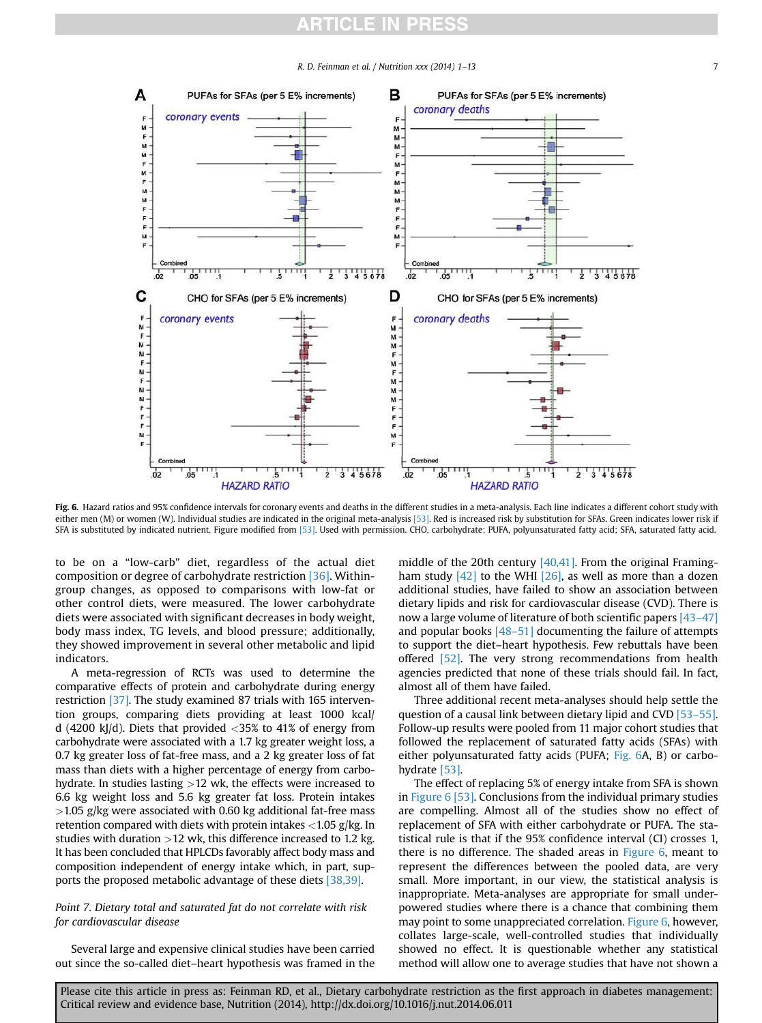R. D. Feinman et al. / Nutrition xxx (2014) 1–13 7

<span id="page-6-0"></span>

Fig. 6. Hazard ratios and 95% confidence intervals for coronary events and deaths in the different studies in a meta-analysis. Each line indicates a different cohort study with either men (M) or women (W). Individual studies are indicated in the original meta-analysis [\[53\].](#page-12-0) Red is increased risk by substitution for SFAs. Green indicates lower risk if SFA is substituted by indicated nutrient. Figure modified from [\[53\]](#page-12-0). Used with permission. CHO, carbohydrate; PUFA, polyunsaturated fatty acid; SFA, saturated fatty acid.

to be on a "low-carb" diet, regardless of the actual diet composition or degree of carbohydrate restriction [\[36\]](#page-11-0). Withingroup changes, as opposed to comparisons with low-fat or other control diets, were measured. The lower carbohydrate diets were associated with significant decreases in body weight, body mass index, TG levels, and blood pressure; additionally, they showed improvement in several other metabolic and lipid indicators.

A meta-regression of RCTs was used to determine the comparative effects of protein and carbohydrate during energy restriction [\[37\]](#page-11-0). The study examined 87 trials with 165 intervention groups, comparing diets providing at least 1000 kcal/ d (4200 kJ/d). Diets that provided  $\langle$ 35% to 41% of energy from carbohydrate were associated with a 1.7 kg greater weight loss, a 0.7 kg greater loss of fat-free mass, and a 2 kg greater loss of fat mass than diets with a higher percentage of energy from carbohydrate. In studies lasting >12 wk, the effects were increased to 6.6 kg weight loss and 5.6 kg greater fat loss. Protein intakes  $>1.05$  g/kg were associated with 0.60 kg additional fat-free mass retention compared with diets with protein intakes  $<$  1.05 g/kg. In studies with duration  $>12$  wk, this difference increased to 1.2 kg. It has been concluded that HPLCDs favorably affect body mass and composition independent of energy intake which, in part, supports the proposed metabolic advantage of these diets [\[38,39\]](#page-11-0).

#### Point 7. Dietary total and saturated fat do not correlate with risk for cardiovascular disease

Several large and expensive clinical studies have been carried out since the so-called diet–heart hypothesis was framed in the

middle of the 20th century  $[40,41]$ . From the original Framingham study  $[42]$  to the WHI  $[26]$ , as well as more than a dozen additional studies, have failed to show an association between dietary lipids and risk for cardiovascular disease (CVD). There is now a large volume of literature of both scientific papers [\[43](#page-11-0)–47] and popular books  $[48-51]$  $[48-51]$  documenting the failure of attempts to support the diet–heart hypothesis. Few rebuttals have been offered [\[52\]](#page-12-0). The very strong recommendations from health agencies predicted that none of these trials should fail. In fact, almost all of them have failed.

Three additional recent meta-analyses should help settle the question of a causal link between dietary lipid and CVD [53–[55\]](#page-12-0). Follow-up results were pooled from 11 major cohort studies that followed the replacement of saturated fatty acids (SFAs) with either polyunsaturated fatty acids (PUFA; Fig. 6A, B) or carbohydrate [\[53\]](#page-12-0).

The effect of replacing 5% of energy intake from SFA is shown in Figure 6 [\[53\]](#page-12-0). Conclusions from the individual primary studies are compelling. Almost all of the studies show no effect of replacement of SFA with either carbohydrate or PUFA. The statistical rule is that if the 95% confidence interval (CI) crosses 1, there is no difference. The shaded areas in Figure 6, meant to represent the differences between the pooled data, are very small. More important, in our view, the statistical analysis is inappropriate. Meta-analyses are appropriate for small underpowered studies where there is a chance that combining them may point to some unappreciated correlation. Figure 6, however, collates large-scale, well-controlled studies that individually showed no effect. It is questionable whether any statistical method will allow one to average studies that have not shown a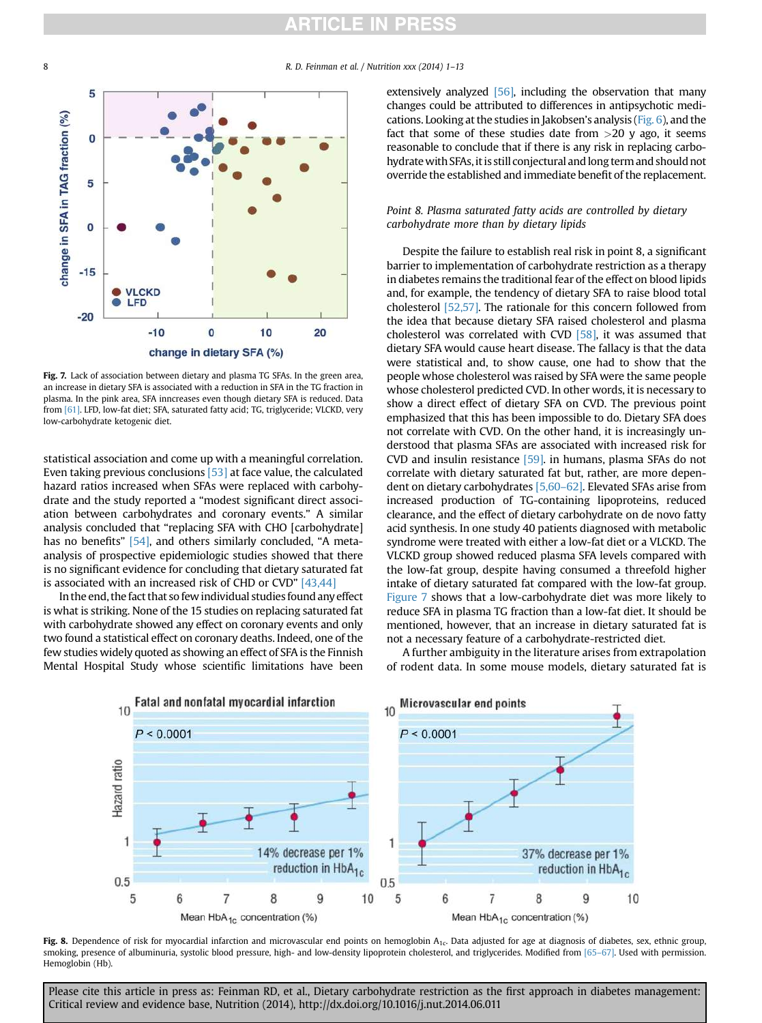<span id="page-7-0"></span>

Fig. 7. Lack of association between dietary and plasma TG SFAs. In the green area, an increase in dietary SFA is associated with a reduction in SFA in the TG fraction in plasma. In the pink area, SFA inncreases even though dietary SFA is reduced. Data from [\[61\]](#page-12-0). LFD, low-fat diet; SFA, saturated fatty acid; TG, triglyceride; VLCKD, very low-carbohydrate ketogenic diet.

statistical association and come up with a meaningful correlation. Even taking previous conclusions [\[53\]](#page-12-0) at face value, the calculated hazard ratios increased when SFAs were replaced with carbohydrate and the study reported a "modest significant direct association between carbohydrates and coronary events." A similar analysis concluded that "replacing SFA with CHO [carbohydrate] has no benefits" [\[54\],](#page-12-0) and others similarly concluded, "A metaanalysis of prospective epidemiologic studies showed that there is no significant evidence for concluding that dietary saturated fat is associated with an increased risk of CHD or CVD" [\[43,44\]](#page-11-0)

In the end, the fact that so fewindividual studies found any effect is what is striking. None of the 15 studies on replacing saturated fat with carbohydrate showed any effect on coronary events and only two found a statistical effect on coronary deaths. Indeed, one of the few studies widely quoted as showing an effect of SFA is the Finnish Mental Hospital Study whose scientific limitations have been extensively analyzed  $[56]$ , including the observation that many changes could be attributed to differences in antipsychotic medications. Looking at the studies in Jakobsen's analysis [\(Fig. 6\)](#page-6-0), and the fact that some of these studies date from >20 y ago, it seems reasonable to conclude that if there is any risk in replacing carbohydrate with SFAs, it is still conjectural and long term and should not override the established and immediate benefit of the replacement.

#### Point 8. Plasma saturated fatty acids are controlled by dietary carbohydrate more than by dietary lipids

Despite the failure to establish real risk in point 8, a significant barrier to implementation of carbohydrate restriction as a therapy in diabetes remains the traditional fear of the effect on blood lipids and, for example, the tendency of dietary SFA to raise blood total cholesterol [\[52,57\].](#page-12-0) The rationale for this concern followed from the idea that because dietary SFA raised cholesterol and plasma cholesterol was correlated with CVD  $[58]$ , it was assumed that dietary SFA would cause heart disease. The fallacy is that the data were statistical and, to show cause, one had to show that the people whose cholesterol was raised by SFA were the same people whose cholesterol predicted CVD. In other words, it is necessary to show a direct effect of dietary SFA on CVD. The previous point emphasized that this has been impossible to do. Dietary SFA does not correlate with CVD. On the other hand, it is increasingly understood that plasma SFAs are associated with increased risk for CVD and insulin resistance [\[59\].](#page-12-0) in humans, plasma SFAs do not correlate with dietary saturated fat but, rather, are more dependent on dietary carbohydrates [\[5,60](#page-11-0)–62]. Elevated SFAs arise from increased production of TG-containing lipoproteins, reduced clearance, and the effect of dietary carbohydrate on de novo fatty acid synthesis. In one study 40 patients diagnosed with metabolic syndrome were treated with either a low-fat diet or a VLCKD. The VLCKD group showed reduced plasma SFA levels compared with the low-fat group, despite having consumed a threefold higher intake of dietary saturated fat compared with the low-fat group. Figure 7 shows that a low-carbohydrate diet was more likely to reduce SFA in plasma TG fraction than a low-fat diet. It should be mentioned, however, that an increase in dietary saturated fat is not a necessary feature of a carbohydrate-restricted diet.

A further ambiguity in the literature arises from extrapolation of rodent data. In some mouse models, dietary saturated fat is



Fig. 8. Dependence of risk for myocardial infarction and microvascular end points on hemoglobin  $A_{1c}$ . Data adjusted for age at diagnosis of diabetes, sex, ethnic group, smoking, presence of albuminuria, systolic blood pressure, high- and low-density lipoprotein cholesterol, and triglycerides. Modified from [65–[67\].](#page-12-0) Used with permission. Hemoglobin (Hb).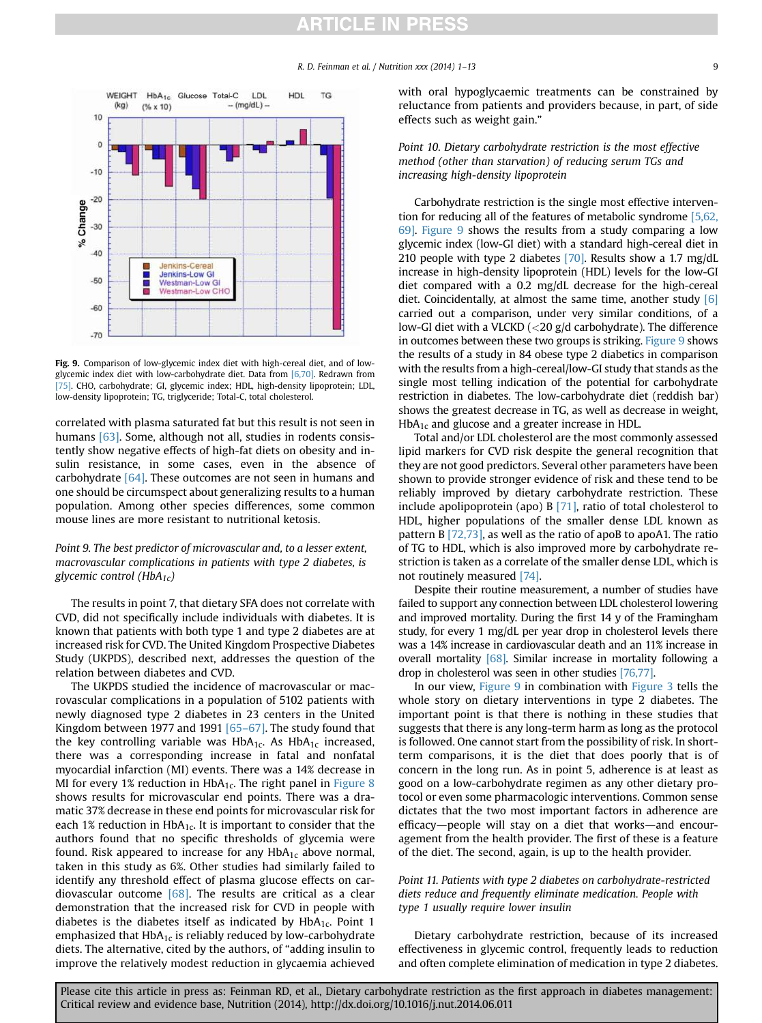

Fig. 9. Comparison of low-glycemic index diet with high-cereal diet, and of lowglycemic index diet with low-carbohydrate diet. Data from  $[6,70]$ . Redrawn from [\[75\].](#page-12-0) CHO, carbohydrate; GI, glycemic index; HDL, high-density lipoprotein; LDL, low-density lipoprotein; TG, triglyceride; Total-C, total cholesterol.

correlated with plasma saturated fat but this result is not seen in humans [\[63\]](#page-12-0). Some, although not all, studies in rodents consistently show negative effects of high-fat diets on obesity and insulin resistance, in some cases, even in the absence of carbohydrate  $[64]$ . These outcomes are not seen in humans and one should be circumspect about generalizing results to a human population. Among other species differences, some common mouse lines are more resistant to nutritional ketosis.

### Point 9. The best predictor of microvascular and, to a lesser extent, macrovascular complications in patients with type 2 diabetes, is glycemic control (HbA $_{1c}$ )

The results in point 7, that dietary SFA does not correlate with CVD, did not specifically include individuals with diabetes. It is known that patients with both type 1 and type 2 diabetes are at increased risk for CVD. The United Kingdom Prospective Diabetes Study (UKPDS), described next, addresses the question of the relation between diabetes and CVD.

The UKPDS studied the incidence of macrovascular or macrovascular complications in a population of 5102 patients with newly diagnosed type 2 diabetes in 23 centers in the United Kingdom between 1977 and 1991  $[65-67]$  $[65-67]$ . The study found that the key controlling variable was  $HbA_{1c}$ . As  $HbA_{1c}$  increased, there was a corresponding increase in fatal and nonfatal myocardial infarction (MI) events. There was a 14% decrease in MI for every 1% reduction in  $HbA_{1c}$ . The right panel in [Figure 8](#page-7-0) shows results for microvascular end points. There was a dramatic 37% decrease in these end points for microvascular risk for each 1% reduction in  $HbA_{1c}$ . It is important to consider that the authors found that no specific thresholds of glycemia were found. Risk appeared to increase for any  $HbA_{1c}$  above normal, taken in this study as 6%. Other studies had similarly failed to identify any threshold effect of plasma glucose effects on cardiovascular outcome  $[68]$ . The results are critical as a clear demonstration that the increased risk for CVD in people with diabetes is the diabetes itself as indicated by  $HbA<sub>1c</sub>$ . Point 1 emphasized that  $HbA_{1c}$  is reliably reduced by low-carbohydrate diets. The alternative, cited by the authors, of "adding insulin to improve the relatively modest reduction in glycaemia achieved with oral hypoglycaemic treatments can be constrained by reluctance from patients and providers because, in part, of side effects such as weight gain."

Point 10. Dietary carbohydrate restriction is the most effective method (other than starvation) of reducing serum TGs and increasing high-density lipoprotein

Carbohydrate restriction is the single most effective intervention for reducing all of the features of metabolic syndrome [\[5,62,](#page-11-0) [69\].](#page-11-0) Figure 9 shows the results from a study comparing a low glycemic index (low-GI diet) with a standard high-cereal diet in 210 people with type 2 diabetes  $[70]$ . Results show a 1.7 mg/dL increase in high-density lipoprotein (HDL) levels for the low-GI diet compared with a 0.2 mg/dL decrease for the high-cereal diet. Coincidentally, at almost the same time, another study  $[6]$ carried out a comparison, under very similar conditions, of a low-GI diet with a VLCKD (<20 g/d carbohydrate). The difference in outcomes between these two groups is striking. Figure 9 shows the results of a study in 84 obese type 2 diabetics in comparison with the results from a high-cereal/low-GI study that stands as the single most telling indication of the potential for carbohydrate restriction in diabetes. The low-carbohydrate diet (reddish bar) shows the greatest decrease in TG, as well as decrease in weight,  $HbA<sub>1c</sub>$  and glucose and a greater increase in HDL.

Total and/or LDL cholesterol are the most commonly assessed lipid markers for CVD risk despite the general recognition that they are not good predictors. Several other parameters have been shown to provide stronger evidence of risk and these tend to be reliably improved by dietary carbohydrate restriction. These include apolipoprotein (apo) B [\[71\],](#page-12-0) ratio of total cholesterol to HDL, higher populations of the smaller dense LDL known as pattern B [\[72,73\],](#page-12-0) as well as the ratio of apoB to apoA1. The ratio of TG to HDL, which is also improved more by carbohydrate restriction is taken as a correlate of the smaller dense LDL, which is not routinely measured [\[74\].](#page-12-0)

Despite their routine measurement, a number of studies have failed to support any connection between LDL cholesterol lowering and improved mortality. During the first 14 y of the Framingham study, for every 1 mg/dL per year drop in cholesterol levels there was a 14% increase in cardiovascular death and an 11% increase in overall mortality [\[68\].](#page-12-0) Similar increase in mortality following a drop in cholesterol was seen in other studies [\[76,77\]](#page-12-0).

In our view, Figure 9 in combination with [Figure 3](#page-4-0) tells the whole story on dietary interventions in type 2 diabetes. The important point is that there is nothing in these studies that suggests that there is any long-term harm as long as the protocol is followed. One cannot start from the possibility of risk. In shortterm comparisons, it is the diet that does poorly that is of concern in the long run. As in point 5, adherence is at least as good on a low-carbohydrate regimen as any other dietary protocol or even some pharmacologic interventions. Common sense dictates that the two most important factors in adherence are efficacy—people will stay on a diet that works—and encouragement from the health provider. The first of these is a feature of the diet. The second, again, is up to the health provider.

### Point 11. Patients with type 2 diabetes on carbohydrate-restricted diets reduce and frequently eliminate medication. People with type 1 usually require lower insulin

Dietary carbohydrate restriction, because of its increased effectiveness in glycemic control, frequently leads to reduction and often complete elimination of medication in type 2 diabetes.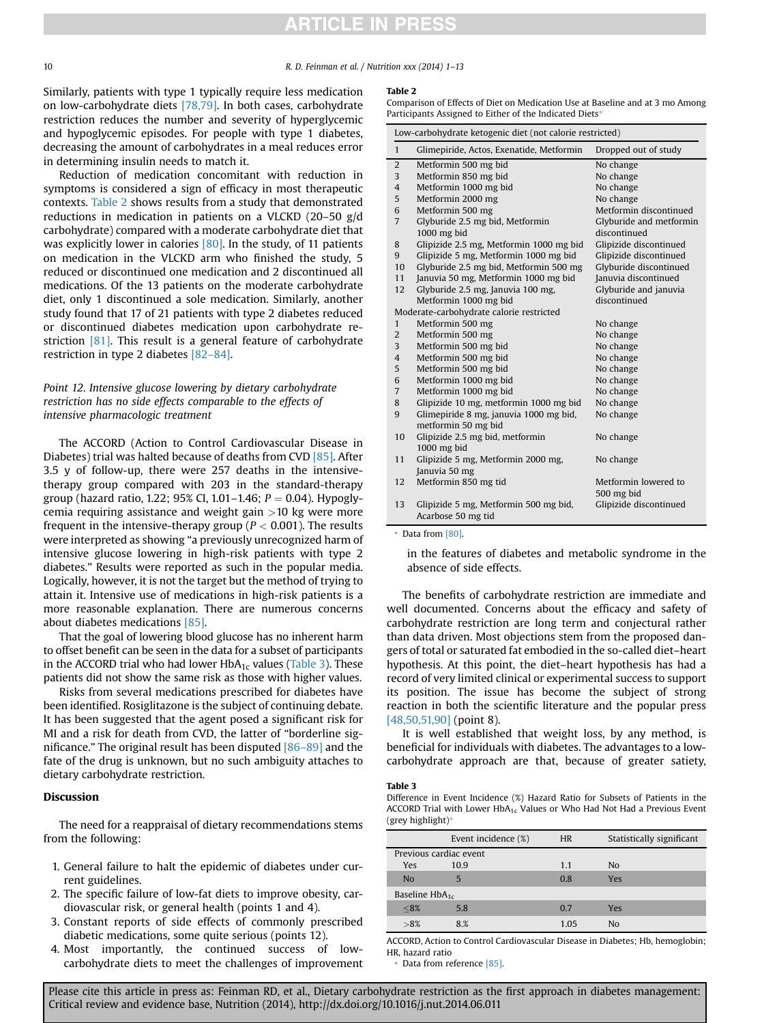10 R. D. Feinman et al. / Nutrition xxx (2014) 1–13

Similarly, patients with type 1 typically require less medication on low-carbohydrate diets [\[78,79\]](#page-12-0). In both cases, carbohydrate restriction reduces the number and severity of hyperglycemic and hypoglycemic episodes. For people with type 1 diabetes, decreasing the amount of carbohydrates in a meal reduces error in determining insulin needs to match it.

Reduction of medication concomitant with reduction in symptoms is considered a sign of efficacy in most therapeutic contexts. Table 2 shows results from a study that demonstrated reductions in medication in patients on a VLCKD (20–50 g/d carbohydrate) compared with a moderate carbohydrate diet that was explicitly lower in calories [\[80\]](#page-12-0). In the study, of 11 patients on medication in the VLCKD arm who finished the study, 5 reduced or discontinued one medication and 2 discontinued all medications. Of the 13 patients on the moderate carbohydrate diet, only 1 discontinued a sole medication. Similarly, another study found that 17 of 21 patients with type 2 diabetes reduced or discontinued diabetes medication upon carbohydrate restriction [\[81\]](#page-12-0). This result is a general feature of carbohydrate restriction in type 2 diabetes [82–[84\]](#page-12-0).

#### Point 12. Intensive glucose lowering by dietary carbohydrate restriction has no side effects comparable to the effects of intensive pharmacologic treatment

The ACCORD (Action to Control Cardiovascular Disease in Diabetes) trial was halted because of deaths from CVD [\[85\].](#page-12-0) After 3.5 y of follow-up, there were 257 deaths in the intensivetherapy group compared with 203 in the standard-therapy group (hazard ratio, 1.22; 95% CI, 1.01-1.46;  $P = 0.04$ ). Hypoglycemia requiring assistance and weight gain  $>10$  kg were more frequent in the intensive-therapy group ( $P < 0.001$ ). The results were interpreted as showing "a previously unrecognized harm of intensive glucose lowering in high-risk patients with type 2 diabetes." Results were reported as such in the popular media. Logically, however, it is not the target but the method of trying to attain it. Intensive use of medications in high-risk patients is a more reasonable explanation. There are numerous concerns about diabetes medications [\[85\].](#page-12-0)

That the goal of lowering blood glucose has no inherent harm to offset benefit can be seen in the data for a subset of participants in the ACCORD trial who had lower  $HbA_{1c}$  values (Table 3). These patients did not show the same risk as those with higher values.

Risks from several medications prescribed for diabetes have been identified. Rosiglitazone is the subject of continuing debate. It has been suggested that the agent posed a significant risk for MI and a risk for death from CVD, the latter of "borderline significance." The original result has been disputed [86–[89\]](#page-12-0) and the fate of the drug is unknown, but no such ambiguity attaches to dietary carbohydrate restriction.

#### Discussion

The need for a reappraisal of dietary recommendations stems from the following:

- 1. General failure to halt the epidemic of diabetes under current guidelines.
- 2. The specific failure of low-fat diets to improve obesity, cardiovascular risk, or general health (points 1 and 4).
- 3. Constant reports of side effects of commonly prescribed diabetic medications, some quite serious (points 12).
- 4. Most importantly, the continued success of lowcarbohydrate diets to meet the challenges of improvement

#### Table 2

Comparison of Effects of Diet on Medication Use at Baseline and at 3 mo Among Participants Assigned to Either of the Indicated Diets\*

| Low-carbohydrate ketogenic diet (not calorie restricted) |                                                     |                         |  |
|----------------------------------------------------------|-----------------------------------------------------|-------------------------|--|
| $\mathbf{1}$                                             | Glimepiride, Actos, Exenatide, Metformin            | Dropped out of study    |  |
| $\overline{2}$                                           | Metformin 500 mg bid                                | No change               |  |
| 3                                                        | Metformin 850 mg bid                                | No change               |  |
| $\overline{4}$                                           | Metformin 1000 mg bid                               | No change               |  |
| 5                                                        | Metformin 2000 mg                                   | No change               |  |
| 6                                                        | Metformin 500 mg                                    | Metformin discontinued  |  |
| $\overline{7}$                                           | Glyburide 2.5 mg bid, Metformin                     | Glyburide and metformin |  |
|                                                          | 1000 mg bid                                         | discontinued            |  |
| 8                                                        | Glipizide 2.5 mg, Metformin 1000 mg bid             | Glipizide discontinued  |  |
| 9                                                        | Glipizide 5 mg, Metformin 1000 mg bid               | Glipizide discontinued  |  |
| 10                                                       | Glyburide 2.5 mg bid, Metformin 500 mg              | Glyburide discontinued  |  |
| 11                                                       | Januvia 50 mg, Metformin 1000 mg bid                | Januvia discontinued    |  |
| 12                                                       | Glyburide 2.5 mg, Januvia 100 mg,                   | Glyburide and januvia   |  |
|                                                          | Metformin 1000 mg bid                               | discontinued            |  |
|                                                          | Moderate-carbohydrate calorie restricted            |                         |  |
| $\mathbf{1}$                                             | Metformin 500 mg                                    | No change               |  |
| $\overline{2}$                                           | Metformin 500 mg                                    | No change               |  |
| 3                                                        | Metformin 500 mg bid                                | No change               |  |
| $\overline{4}$                                           | Metformin 500 mg bid                                | No change               |  |
| 5                                                        | Metformin 500 mg bid                                | No change               |  |
| 6                                                        | Metformin 1000 mg bid                               | No change               |  |
| $\overline{7}$                                           | Metformin 1000 mg bid                               | No change               |  |
| 8                                                        | Glipizide 10 mg, metformin 1000 mg bid              | No change               |  |
| 9                                                        | Glimepiride 8 mg, januvia 1000 mg bid,              | No change               |  |
|                                                          | metformin 50 mg bid                                 |                         |  |
| 10                                                       | Glipizide 2.5 mg bid, metformin                     | No change               |  |
|                                                          | 1000 mg bid                                         |                         |  |
| 11                                                       | Glipizide 5 mg, Metformin 2000 mg,<br>Januvia 50 mg | No change               |  |
| 12                                                       | Metformin 850 mg tid                                | Metformin lowered to    |  |
|                                                          |                                                     | 500 mg bid              |  |
| 13                                                       | Glipizide 5 mg, Metformin 500 mg bid,               | Glipizide discontinued  |  |
|                                                          | Acarbose 50 mg tid                                  |                         |  |

\* Data from [\[80\]](#page-12-0).

in the features of diabetes and metabolic syndrome in the absence of side effects.

The benefits of carbohydrate restriction are immediate and well documented. Concerns about the efficacy and safety of carbohydrate restriction are long term and conjectural rather than data driven. Most objections stem from the proposed dangers of total or saturated fat embodied in the so-called diet–heart hypothesis. At this point, the diet–heart hypothesis has had a record of very limited clinical or experimental success to support its position. The issue has become the subject of strong reaction in both the scientific literature and the popular press [\[48,50,51,90\]](#page-12-0) (point 8).

It is well established that weight loss, by any method, is beneficial for individuals with diabetes. The advantages to a lowcarbohydrate approach are that, because of greater satiety,

#### Table 3

Difference in Event Incidence (%) Hazard Ratio for Subsets of Patients in the ACCORD Trial with Lower HbA<sub>1c</sub> Values or Who Had Not Had a Previous Event (grey highlight)\*

|                        | Event incidence (%) | <b>HR</b> | Statistically significant |  |
|------------------------|---------------------|-----------|---------------------------|--|
| Previous cardiac event |                     |           |                           |  |
| Yes                    | 10.9                | 1.1       | N <sub>0</sub>            |  |
| N <sub>0</sub>         | 5                   | 0.8       | Yes                       |  |
| Baseline $HbA_{1c}$    |                     |           |                           |  |
| < 8%                   | 5.8                 | 0.7       | Yes                       |  |
| >8%                    | 8.%                 | 1.05      | No                        |  |

ACCORD, Action to Control Cardiovascular Disease in Diabetes; Hb, hemoglobin; HR, hazard ratio

\* Data from reference [\[85\].](#page-12-0)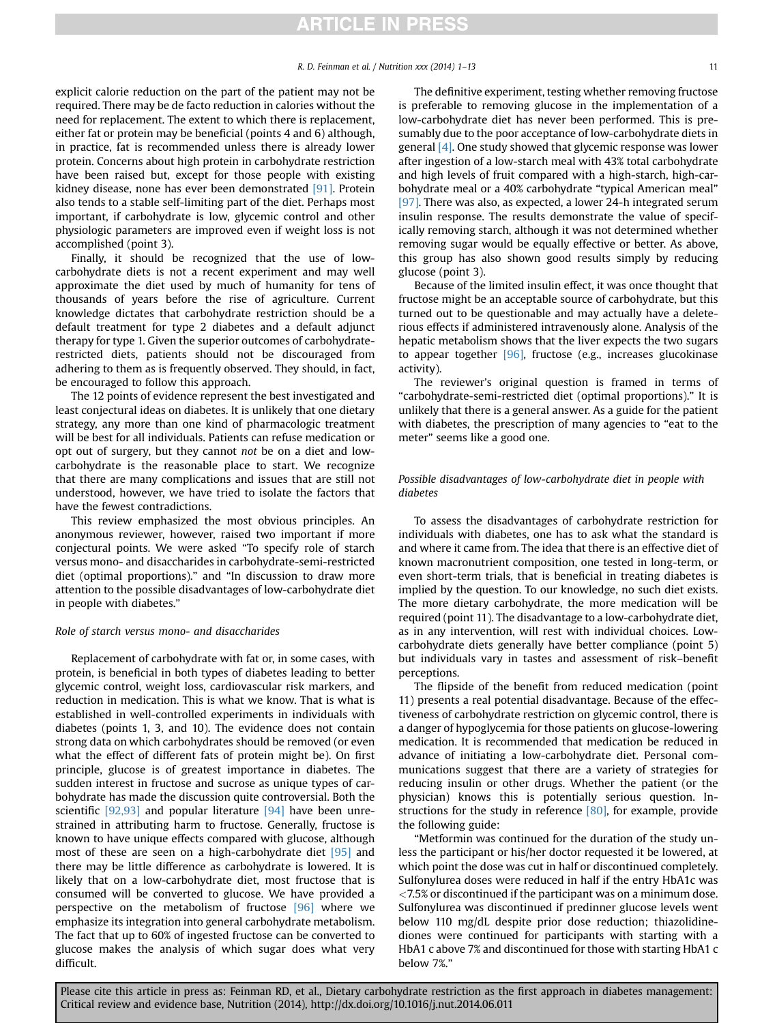explicit calorie reduction on the part of the patient may not be required. There may be de facto reduction in calories without the need for replacement. The extent to which there is replacement, either fat or protein may be beneficial (points 4 and 6) although, in practice, fat is recommended unless there is already lower protein. Concerns about high protein in carbohydrate restriction have been raised but, except for those people with existing kidney disease, none has ever been demonstrated [\[91\].](#page-12-0) Protein also tends to a stable self-limiting part of the diet. Perhaps most important, if carbohydrate is low, glycemic control and other physiologic parameters are improved even if weight loss is not accomplished (point 3).

Finally, it should be recognized that the use of lowcarbohydrate diets is not a recent experiment and may well approximate the diet used by much of humanity for tens of thousands of years before the rise of agriculture. Current knowledge dictates that carbohydrate restriction should be a default treatment for type 2 diabetes and a default adjunct therapy for type 1. Given the superior outcomes of carbohydraterestricted diets, patients should not be discouraged from adhering to them as is frequently observed. They should, in fact, be encouraged to follow this approach.

The 12 points of evidence represent the best investigated and least conjectural ideas on diabetes. It is unlikely that one dietary strategy, any more than one kind of pharmacologic treatment will be best for all individuals. Patients can refuse medication or opt out of surgery, but they cannot not be on a diet and lowcarbohydrate is the reasonable place to start. We recognize that there are many complications and issues that are still not understood, however, we have tried to isolate the factors that have the fewest contradictions.

This review emphasized the most obvious principles. An anonymous reviewer, however, raised two important if more conjectural points. We were asked "To specify role of starch versus mono- and disaccharides in carbohydrate-semi-restricted diet (optimal proportions)." and "In discussion to draw more attention to the possible disadvantages of low-carbohydrate diet in people with diabetes."

#### Role of starch versus mono- and disaccharides

Replacement of carbohydrate with fat or, in some cases, with protein, is beneficial in both types of diabetes leading to better glycemic control, weight loss, cardiovascular risk markers, and reduction in medication. This is what we know. That is what is established in well-controlled experiments in individuals with diabetes (points 1, 3, and 10). The evidence does not contain strong data on which carbohydrates should be removed (or even what the effect of different fats of protein might be). On first principle, glucose is of greatest importance in diabetes. The sudden interest in fructose and sucrose as unique types of carbohydrate has made the discussion quite controversial. Both the scientific  $[92,93]$  and popular literature  $[94]$  have been unrestrained in attributing harm to fructose. Generally, fructose is known to have unique effects compared with glucose, although most of these are seen on a high-carbohydrate diet [\[95\]](#page-12-0) and there may be little difference as carbohydrate is lowered. It is likely that on a low-carbohydrate diet, most fructose that is consumed will be converted to glucose. We have provided a perspective on the metabolism of fructose [\[96\]](#page-12-0) where we emphasize its integration into general carbohydrate metabolism. The fact that up to 60% of ingested fructose can be converted to glucose makes the analysis of which sugar does what very difficult.

The definitive experiment, testing whether removing fructose is preferable to removing glucose in the implementation of a low-carbohydrate diet has never been performed. This is presumably due to the poor acceptance of low-carbohydrate diets in general [\[4\].](#page-11-0) One study showed that glycemic response was lower after ingestion of a low-starch meal with 43% total carbohydrate and high levels of fruit compared with a high-starch, high-carbohydrate meal or a 40% carbohydrate "typical American meal" [\[97\].](#page-12-0) There was also, as expected, a lower 24-h integrated serum insulin response. The results demonstrate the value of specifically removing starch, although it was not determined whether removing sugar would be equally effective or better. As above, this group has also shown good results simply by reducing glucose (point 3).

Because of the limited insulin effect, it was once thought that fructose might be an acceptable source of carbohydrate, but this turned out to be questionable and may actually have a deleterious effects if administered intravenously alone. Analysis of the hepatic metabolism shows that the liver expects the two sugars to appear together  $[96]$ , fructose (e.g., increases glucokinase activity).

The reviewer's original question is framed in terms of "carbohydrate-semi-restricted diet (optimal proportions)." It is unlikely that there is a general answer. As a guide for the patient with diabetes, the prescription of many agencies to "eat to the meter" seems like a good one.

#### Possible disadvantages of low-carbohydrate diet in people with diabetes

To assess the disadvantages of carbohydrate restriction for individuals with diabetes, one has to ask what the standard is and where it came from. The idea that there is an effective diet of known macronutrient composition, one tested in long-term, or even short-term trials, that is beneficial in treating diabetes is implied by the question. To our knowledge, no such diet exists. The more dietary carbohydrate, the more medication will be required (point 11). The disadvantage to a low-carbohydrate diet, as in any intervention, will rest with individual choices. Lowcarbohydrate diets generally have better compliance (point 5) but individuals vary in tastes and assessment of risk–benefit perceptions.

The flipside of the benefit from reduced medication (point 11) presents a real potential disadvantage. Because of the effectiveness of carbohydrate restriction on glycemic control, there is a danger of hypoglycemia for those patients on glucose-lowering medication. It is recommended that medication be reduced in advance of initiating a low-carbohydrate diet. Personal communications suggest that there are a variety of strategies for reducing insulin or other drugs. Whether the patient (or the physician) knows this is potentially serious question. Instructions for the study in reference [\[80\],](#page-12-0) for example, provide the following guide:

"Metformin was continued for the duration of the study unless the participant or his/her doctor requested it be lowered, at which point the dose was cut in half or discontinued completely. Sulfonylurea doses were reduced in half if the entry HbA1c was <7.5% or discontinued if the participant was on a minimum dose. Sulfonylurea was discontinued if predinner glucose levels went below 110 mg/dL despite prior dose reduction; thiazolidinediones were continued for participants with starting with a HbA1 c above 7% and discontinued for those with starting HbA1 c below 7%."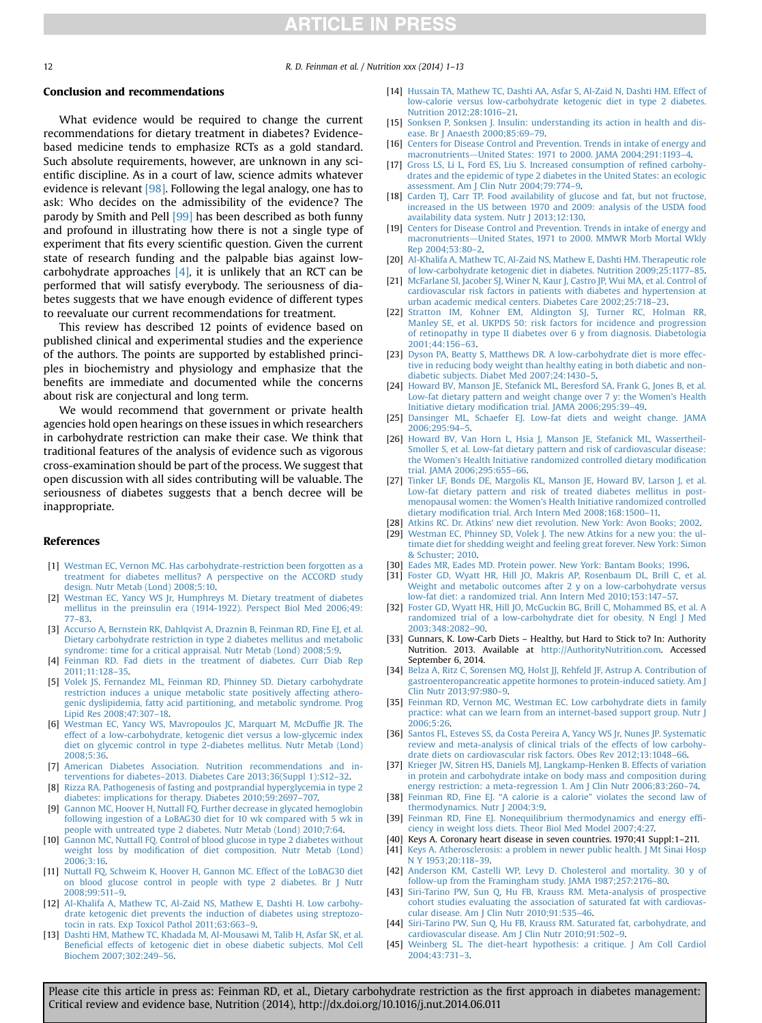<span id="page-11-0"></span>12 R. D. Feinman et al. / Nutrition xxx (2014) 1–13

#### Conclusion and recommendations

What evidence would be required to change the current recommendations for dietary treatment in diabetes? Evidencebased medicine tends to emphasize RCTs as a gold standard. Such absolute requirements, however, are unknown in any scientific discipline. As in a court of law, science admits whatever evidence is relevant [\[98\]](#page-12-0). Following the legal analogy, one has to ask: Who decides on the admissibility of the evidence? The parody by Smith and Pell [\[99\]](#page-12-0) has been described as both funny and profound in illustrating how there is not a single type of experiment that fits every scientific question. Given the current state of research funding and the palpable bias against lowcarbohydrate approaches  $[4]$ , it is unlikely that an RCT can be performed that will satisfy everybody. The seriousness of diabetes suggests that we have enough evidence of different types to reevaluate our current recommendations for treatment.

This review has described 12 points of evidence based on published clinical and experimental studies and the experience of the authors. The points are supported by established principles in biochemistry and physiology and emphasize that the benefits are immediate and documented while the concerns about risk are conjectural and long term.

We would recommend that government or private health agencies hold open hearings on these issues in which researchers in carbohydrate restriction can make their case. We think that traditional features of the analysis of evidence such as vigorous cross-examination should be part of the process. We suggest that open discussion with all sides contributing will be valuable. The seriousness of diabetes suggests that a bench decree will be inappropriate.

#### References

- [1] [Westman EC, Vernon MC. Has carbohydrate-restriction been forgotten as a](http://refhub.elsevier.com/S0899-9007(14)00332-3/sref1) [treatment for diabetes mellitus? A perspective on the ACCORD study](http://refhub.elsevier.com/S0899-9007(14)00332-3/sref1) [design. Nutr Metab \(Lond\) 2008;5:10.](http://refhub.elsevier.com/S0899-9007(14)00332-3/sref1)
- [2] [Westman EC, Yancy WS Jr, Humphreys M. Dietary treatment of diabetes](http://refhub.elsevier.com/S0899-9007(14)00332-3/sref2) [mellitus in the preinsulin era \(1914-1922\). Perspect Biol Med 2006;49:](http://refhub.elsevier.com/S0899-9007(14)00332-3/sref2) 77–[83.](http://refhub.elsevier.com/S0899-9007(14)00332-3/sref2)
- [3] [Accurso A, Bernstein RK, Dahlqvist A, Draznin B, Feinman RD, Fine EJ, et al.](http://refhub.elsevier.com/S0899-9007(14)00332-3/sref3) [Dietary carbohydrate restriction in type 2 diabetes mellitus and metabolic](http://refhub.elsevier.com/S0899-9007(14)00332-3/sref3) [syndrome: time for a critical appraisal. Nutr Metab \(Lond\) 2008;5:9.](http://refhub.elsevier.com/S0899-9007(14)00332-3/sref3)
- [4] [Feinman RD. Fad diets in the treatment of diabetes. Curr Diab Rep](http://refhub.elsevier.com/S0899-9007(14)00332-3/sref4) [2011;11:128](http://refhub.elsevier.com/S0899-9007(14)00332-3/sref4)–35.
- [5] [Volek JS, Fernandez ML, Feinman RD, Phinney SD. Dietary carbohydrate](http://refhub.elsevier.com/S0899-9007(14)00332-3/sref5) [restriction induces a unique metabolic state positively affecting athero](http://refhub.elsevier.com/S0899-9007(14)00332-3/sref5)[genic dyslipidemia, fatty acid partitioning, and metabolic syndrome. Prog](http://refhub.elsevier.com/S0899-9007(14)00332-3/sref5) [Lipid Res 2008;47:307](http://refhub.elsevier.com/S0899-9007(14)00332-3/sref5)–18.
- [6] [Westman EC, Yancy WS, Mavropoulos JC, Marquart M, McDuf](http://refhub.elsevier.com/S0899-9007(14)00332-3/sref6)fie JR. The [effect of a low-carbohydrate, ketogenic diet versus a low-glycemic index](http://refhub.elsevier.com/S0899-9007(14)00332-3/sref6) [diet on glycemic control in type 2-diabetes mellitus. Nutr Metab \(Lond\)](http://refhub.elsevier.com/S0899-9007(14)00332-3/sref6) [2008;5:36](http://refhub.elsevier.com/S0899-9007(14)00332-3/sref6).
- [7] [American Diabetes Association. Nutrition recommendations and in](http://refhub.elsevier.com/S0899-9007(14)00332-3/sref7)terventions for diabetes–[2013. Diabetes Care 2013;36\(Suppl 1\):S12](http://refhub.elsevier.com/S0899-9007(14)00332-3/sref7)–32.
- [8] [Rizza RA. Pathogenesis of fasting and postprandial hyperglycemia in type 2](http://refhub.elsevier.com/S0899-9007(14)00332-3/sref8) [diabetes: implications for therapy. Diabetes 2010;59:2697](http://refhub.elsevier.com/S0899-9007(14)00332-3/sref8)–707.
- [9] Gannon MC, Hoover H, Nuttall FQ, Further decrease in glycated hemoglobin [following ingestion of a LoBAG30 diet for 10 wk compared with 5 wk in](http://refhub.elsevier.com/S0899-9007(14)00332-3/sref9) [people with untreated type 2 diabetes. Nutr Metab \(Lond\) 2010;7:64](http://refhub.elsevier.com/S0899-9007(14)00332-3/sref9).
- [10] [Gannon MC, Nuttall FQ. Control of blood glucose in type 2 diabetes without](http://refhub.elsevier.com/S0899-9007(14)00332-3/sref10) weight loss by modifi[cation of diet composition. Nutr Metab \(Lond\)](http://refhub.elsevier.com/S0899-9007(14)00332-3/sref10) [2006;3:16.](http://refhub.elsevier.com/S0899-9007(14)00332-3/sref10)
- [11] [Nuttall FQ, Schweim K, Hoover H, Gannon MC. Effect of the LoBAG30 diet](http://refhub.elsevier.com/S0899-9007(14)00332-3/sref11) [on blood glucose control in people with type 2 diabetes. Br J Nutr](http://refhub.elsevier.com/S0899-9007(14)00332-3/sref11) [2008;99:511](http://refhub.elsevier.com/S0899-9007(14)00332-3/sref11)–9.
- [12] [Al-Khalifa A, Mathew TC, Al-Zaid NS, Mathew E, Dashti H. Low carbohy](http://refhub.elsevier.com/S0899-9007(14)00332-3/sref12)[drate ketogenic diet prevents the induction of diabetes using streptozo](http://refhub.elsevier.com/S0899-9007(14)00332-3/sref12)[tocin in rats. Exp Toxicol Pathol 2011;63:663](http://refhub.elsevier.com/S0899-9007(14)00332-3/sref12)–9.
- [13] [Dashti HM, Mathew TC, Khadada M, Al-Mousawi M, Talib H, Asfar SK, et al.](http://refhub.elsevier.com/S0899-9007(14)00332-3/sref13) Benefi[cial effects of ketogenic diet in obese diabetic subjects. Mol Cell](http://refhub.elsevier.com/S0899-9007(14)00332-3/sref13) [Biochem 2007;302:249](http://refhub.elsevier.com/S0899-9007(14)00332-3/sref13)–56.
- [14] [Hussain TA, Mathew TC, Dashti AA, Asfar S, Al-Zaid N, Dashti HM. Effect of](http://refhub.elsevier.com/S0899-9007(14)00332-3/sref14) [low-calorie versus low-carbohydrate ketogenic diet in type 2 diabetes.](http://refhub.elsevier.com/S0899-9007(14)00332-3/sref14) [Nutrition 2012;28:1016](http://refhub.elsevier.com/S0899-9007(14)00332-3/sref14)–21.
- [15] [Sonksen P, Sonksen J. Insulin: understanding its action in health and dis](http://refhub.elsevier.com/S0899-9007(14)00332-3/sref15)[ease. Br J Anaesth 2000;85:69](http://refhub.elsevier.com/S0899-9007(14)00332-3/sref15)–79.
- [16] [Centers for Disease Control and Prevention. Trends in intake of energy and](http://refhub.elsevier.com/S0899-9007(14)00332-3/sref16) macronutrients-[United States: 1971 to 2000. JAMA 2004;291:1193](http://refhub.elsevier.com/S0899-9007(14)00332-3/sref16)-4.
- [17] [Gross LS, Li L, Ford ES, Liu S. Increased consumption of re](http://refhub.elsevier.com/S0899-9007(14)00332-3/sref17)fined carbohy[drates and the epidemic of type 2 diabetes in the United States: an ecologic](http://refhub.elsevier.com/S0899-9007(14)00332-3/sref17) [assessment. Am J Clin Nutr 2004;79:774](http://refhub.elsevier.com/S0899-9007(14)00332-3/sref17)–9.
- [18] [Carden TJ, Carr TP. Food availability of glucose and fat, but not fructose,](http://refhub.elsevier.com/S0899-9007(14)00332-3/sref18) [increased in the US between 1970 and 2009: analysis of the USDA food](http://refhub.elsevier.com/S0899-9007(14)00332-3/sref18) [availability data system. Nutr J 2013;12:130](http://refhub.elsevier.com/S0899-9007(14)00332-3/sref18).
- [19] [Centers for Disease Control and Prevention. Trends in intake of energy and](http://refhub.elsevier.com/S0899-9007(14)00332-3/sref19) macronutrients-[United States, 1971 to 2000. MMWR Morb Mortal Wkly](http://refhub.elsevier.com/S0899-9007(14)00332-3/sref19) [Rep 2004;53:80](http://refhub.elsevier.com/S0899-9007(14)00332-3/sref19)–2.
- [20] [Al-Khalifa A, Mathew TC, Al-Zaid NS, Mathew E, Dashti HM. Therapeutic role](http://refhub.elsevier.com/S0899-9007(14)00332-3/sref20) [of low-carbohydrate ketogenic diet in diabetes. Nutrition 2009;25:1177](http://refhub.elsevier.com/S0899-9007(14)00332-3/sref20)–85.
- [21] [McFarlane SI, Jacober SJ, Winer N, Kaur J, Castro JP, Wui MA, et al. Control of](http://refhub.elsevier.com/S0899-9007(14)00332-3/sref21) [cardiovascular risk factors in patients with diabetes and hypertension at](http://refhub.elsevier.com/S0899-9007(14)00332-3/sref21) [urban academic medical centers. Diabetes Care 2002;25:718](http://refhub.elsevier.com/S0899-9007(14)00332-3/sref21)–23.
- [22] [Stratton IM, Kohner EM, Aldington SJ, Turner RC, Holman RR,](http://refhub.elsevier.com/S0899-9007(14)00332-3/sref22) [Manley SE, et al. UKPDS 50: risk factors for incidence and progression](http://refhub.elsevier.com/S0899-9007(14)00332-3/sref22) [of retinopathy in type II diabetes over 6 y from diagnosis. Diabetologia](http://refhub.elsevier.com/S0899-9007(14)00332-3/sref22) [2001;44:156](http://refhub.elsevier.com/S0899-9007(14)00332-3/sref22)–63.
- [23] [Dyson PA, Beatty S, Matthews DR. A low-carbohydrate diet is more effec](http://refhub.elsevier.com/S0899-9007(14)00332-3/sref23)[tive in reducing body weight than healthy eating in both diabetic and non](http://refhub.elsevier.com/S0899-9007(14)00332-3/sref23)[diabetic subjects. Diabet Med 2007;24:1430](http://refhub.elsevier.com/S0899-9007(14)00332-3/sref23)–5.
- [24] [Howard BV, Manson JE, Stefanick ML, Beresford SA, Frank G, Jones B, et al.](http://refhub.elsevier.com/S0899-9007(14)00332-3/sref24) [Low-fat dietary pattern and weight change over 7 y: the Women](http://refhub.elsevier.com/S0899-9007(14)00332-3/sref24)'s Health Initiative dietary modifi[cation trial. JAMA 2006;295:39](http://refhub.elsevier.com/S0899-9007(14)00332-3/sref24)–49.
- [25] [Dansinger ML, Schaefer EJ. Low-fat diets and weight change. JAMA](http://refhub.elsevier.com/S0899-9007(14)00332-3/sref25) [2006;295:94](http://refhub.elsevier.com/S0899-9007(14)00332-3/sref25)–5.
- [26] [Howard BV, Van Horn L, Hsia J, Manson JE, Stefanick ML, Wassertheil-](http://refhub.elsevier.com/S0899-9007(14)00332-3/sref26)[Smoller S, et al. Low-fat dietary pattern and risk of cardiovascular disease:](http://refhub.elsevier.com/S0899-9007(14)00332-3/sref26) the Women'[s Health Initiative randomized controlled dietary modi](http://refhub.elsevier.com/S0899-9007(14)00332-3/sref26)fication [trial. JAMA 2006;295:655](http://refhub.elsevier.com/S0899-9007(14)00332-3/sref26)–66.
- [27] [Tinker LF, Bonds DE, Margolis KL, Manson JE, Howard BV, Larson J, et al.](http://refhub.elsevier.com/S0899-9007(14)00332-3/sref27) [Low-fat dietary pattern and risk of treated diabetes mellitus in post](http://refhub.elsevier.com/S0899-9007(14)00332-3/sref27)menopausal women: the Women'[s Health Initiative randomized controlled](http://refhub.elsevier.com/S0899-9007(14)00332-3/sref27) dietary modifi[cation trial. Arch Intern Med 2008;168:1500](http://refhub.elsevier.com/S0899-9007(14)00332-3/sref27)–11.
- [28] Atkins RC. Dr. Atkins' [new diet revolution. New York: Avon Books; 2002](http://refhub.elsevier.com/S0899-9007(14)00332-3/sref28).
- [29] [Westman EC, Phinney SD, Volek J. The new Atkins for a new you: the ul](http://refhub.elsevier.com/S0899-9007(14)00332-3/sref29)[timate diet for shedding weight and feeling great forever. New York: Simon](http://refhub.elsevier.com/S0899-9007(14)00332-3/sref29) [& Schuster; 2010](http://refhub.elsevier.com/S0899-9007(14)00332-3/sref29).
- [30] [Eades MR, Eades MD. Protein power. New York: Bantam Books; 1996.](http://refhub.elsevier.com/S0899-9007(14)00332-3/sref30)
- [31] [Foster GD, Wyatt HR, Hill JO, Makris AP, Rosenbaum DL, Brill C, et al.](http://refhub.elsevier.com/S0899-9007(14)00332-3/sref31) [Weight and metabolic outcomes after 2 y on a low-carbohydrate versus](http://refhub.elsevier.com/S0899-9007(14)00332-3/sref31) [low-fat diet: a randomized trial. Ann Intern Med 2010;153:147](http://refhub.elsevier.com/S0899-9007(14)00332-3/sref31)–57.
- [32] [Foster GD, Wyatt HR, Hill JO, McGuckin BG, Brill C, Mohammed BS, et al. A](http://refhub.elsevier.com/S0899-9007(14)00332-3/sref32) [randomized trial of a low-carbohydrate diet for obesity. N Engl J Med](http://refhub.elsevier.com/S0899-9007(14)00332-3/sref32) [2003;348:2082](http://refhub.elsevier.com/S0899-9007(14)00332-3/sref32)–90.
- [33] Gunnars, K. Low-Carb Diets Healthy, but Hard to Stick to? In: Authority Nutrition. 2013. Available at [http://AuthorityNutrition.com.](http://AuthorityNutrition.com) Accessed September 6, 2014.
- [34] [Belza A, Ritz C, Sorensen MQ, Holst JJ, Rehfeld JF, Astrup A. Contribution of](http://refhub.elsevier.com/S0899-9007(14)00332-3/sref33) [gastroenteropancreatic appetite hormones to protein-induced satiety. Am J](http://refhub.elsevier.com/S0899-9007(14)00332-3/sref33) [Clin Nutr 2013;97:980](http://refhub.elsevier.com/S0899-9007(14)00332-3/sref33)–9.
- [35] [Feinman RD, Vernon MC, Westman EC. Low carbohydrate diets in family](http://refhub.elsevier.com/S0899-9007(14)00332-3/sref34) [practice: what can we learn from an internet-based support group. Nutr J](http://refhub.elsevier.com/S0899-9007(14)00332-3/sref34) [2006;5:26](http://refhub.elsevier.com/S0899-9007(14)00332-3/sref34).
- [36] [Santos FL, Esteves SS, da Costa Pereira A, Yancy WS Jr, Nunes JP. Systematic](http://refhub.elsevier.com/S0899-9007(14)00332-3/sref35) [review and meta-analysis of clinical trials of the effects of low carbohy](http://refhub.elsevier.com/S0899-9007(14)00332-3/sref35)[drate diets on cardiovascular risk factors. Obes Rev 2012;13:1048](http://refhub.elsevier.com/S0899-9007(14)00332-3/sref35)–66.
- [37] [Krieger JW, Sitren HS, Daniels MJ, Langkamp-Henken B. Effects of variation](http://refhub.elsevier.com/S0899-9007(14)00332-3/sref36) [in protein and carbohydrate intake on body mass and composition during](http://refhub.elsevier.com/S0899-9007(14)00332-3/sref36) [energy restriction: a meta-regression 1. Am J Clin Nutr 2006;83:260](http://refhub.elsevier.com/S0899-9007(14)00332-3/sref36)–74.
- [38] Feinman RD, Fine EJ. "A calorie is a calorie" [violates the second law of](http://refhub.elsevier.com/S0899-9007(14)00332-3/sref37) [thermodynamics. Nutr J 2004;3:9.](http://refhub.elsevier.com/S0899-9007(14)00332-3/sref37)
- [39] [Feinman RD, Fine EJ. Nonequilibrium thermodynamics and energy ef](http://refhub.elsevier.com/S0899-9007(14)00332-3/sref38)fi[ciency in weight loss diets. Theor Biol Med Model 2007;4:27.](http://refhub.elsevier.com/S0899-9007(14)00332-3/sref38)
- [40] Keys A. Coronary heart disease in seven countries. 1970;41 Suppl:1-211.
- [41] [Keys A. Atherosclerosis: a problem in newer public health. J Mt Sinai Hosp](http://refhub.elsevier.com/S0899-9007(14)00332-3/sref39) [N Y 1953;20:118](http://refhub.elsevier.com/S0899-9007(14)00332-3/sref39)–39.
- [42] [Anderson KM, Castelli WP, Levy D. Cholesterol and mortality. 30 y of](http://refhub.elsevier.com/S0899-9007(14)00332-3/sref40) [follow-up from the Framingham study. JAMA 1987;257:2176](http://refhub.elsevier.com/S0899-9007(14)00332-3/sref40)–80.
- [43] [Siri-Tarino PW, Sun Q, Hu FB, Krauss RM. Meta-analysis of prospective](http://refhub.elsevier.com/S0899-9007(14)00332-3/sref41) [cohort studies evaluating the association of saturated fat with cardiovas](http://refhub.elsevier.com/S0899-9007(14)00332-3/sref41)[cular disease. Am J Clin Nutr 2010;91:535](http://refhub.elsevier.com/S0899-9007(14)00332-3/sref41)–46.
- [44] [Siri-Tarino PW, Sun Q, Hu FB, Krauss RM. Saturated fat, carbohydrate, and](http://refhub.elsevier.com/S0899-9007(14)00332-3/sref42) [cardiovascular disease. Am J Clin Nutr 2010;91:502](http://refhub.elsevier.com/S0899-9007(14)00332-3/sref42)–9.
- [45] [Weinberg SL. The diet-heart hypothesis: a critique. J Am Coll Cardiol](http://refhub.elsevier.com/S0899-9007(14)00332-3/sref43) [2004;43:731](http://refhub.elsevier.com/S0899-9007(14)00332-3/sref43)–3.